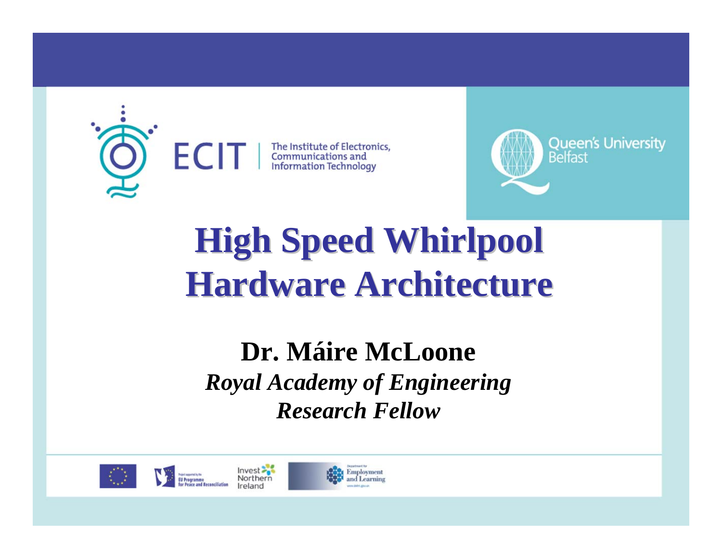



## **High Speed Whirlpool High Speed Whirlpool Hardware Architecture Hardware Architecture**

### of Engine **Research Fellow Dr. Máire McLoone** *Royal Academy of Engineering*





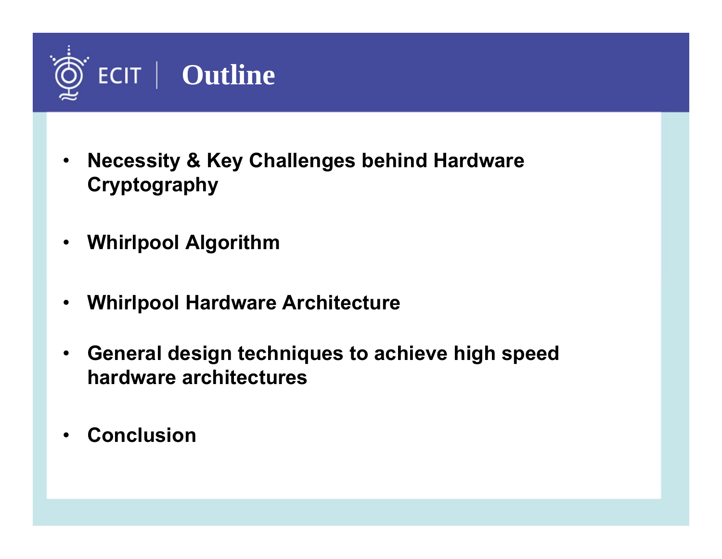

- $\bullet$  **Necessity & Key Challenges behind Hardware Cryptography**
- •**Whirlpool Algorithm**
- •**Whirlpool Hardware Architecture**
- $\bullet$  **General design techniques to achieve high speed hardware architectures**
- •**Conclusion**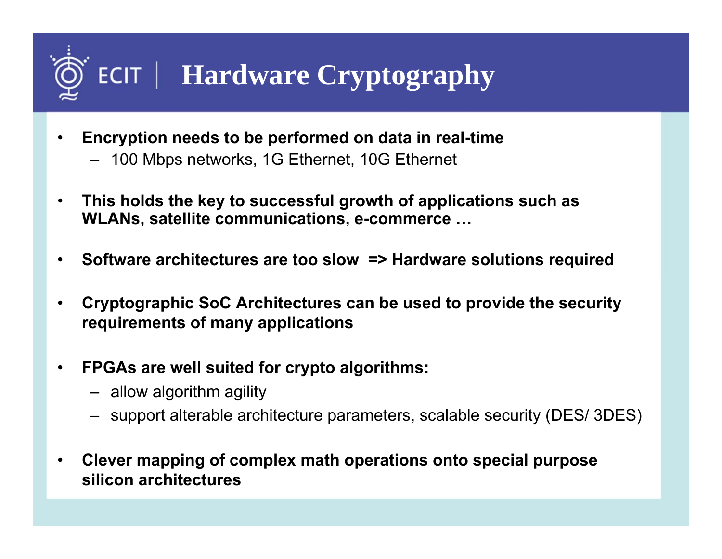# **ECIT** | Hardware Cryptography

- $\bullet$  **Encryption needs to be performed on data in real-time**
	- 100 Mbps networks, 1G Ethernet, 10G Ethernet
- • **This holds the key to successful growth of applications such as WLANs, satellite communications, e-commerce …**
- •**Software architectures are too slow => Hardware solutions required**
- • **Cryptographic SoC Architectures can be used to provide the security requirements of many applications**
- $\bullet$  **FPGAs are well suited for crypto algorithms:**
	- allow algorithm agility
	- support alterable architecture parameters, scalable security (DES/ 3DES)
- • **Clever mapping of complex math operations onto special purpose silicon architectures**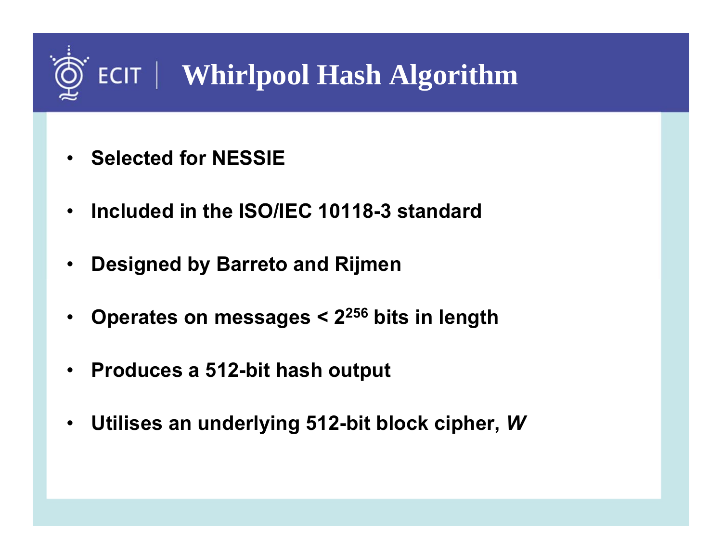# **ECIT** | Whirlpool Hash Algorithm

- •**Selected for NESSIE**
- •**Included in the ISO/IEC 10118-3 standard**
- •**Designed by Barreto and Rijmen**
- •**Operates on messages < 2256 bits in length**
- •**Produces a 512-bit hash output**
- •**Utilises an underlying 512-bit block cipher,**  *W*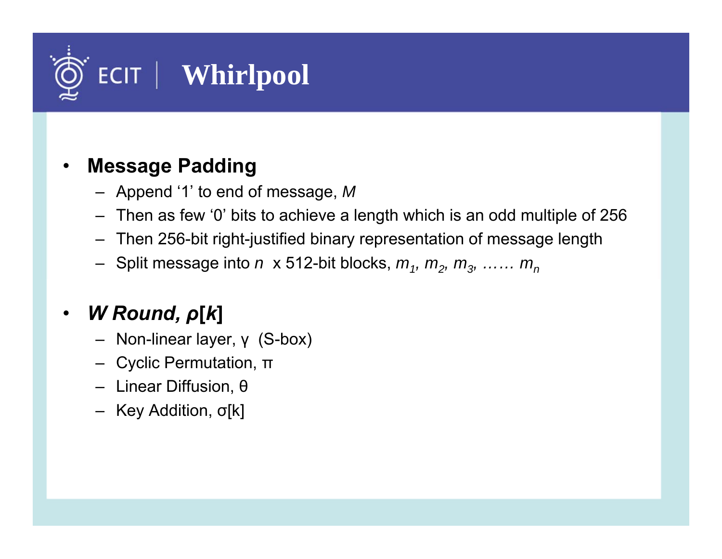

#### •**Message Padding**

- Append '1' to end of message, *M*
- Then as few '0' bits to achieve a length which is an odd multiple of 256
- Then 256-bit right-justified binary representation of message length
- Split message into *<sup>n</sup>* x 512-bit blocks, *m1, m2, m3, …… mn*

#### •*W Round, ρ***[***k***]**

- Non-linear layer, γ (S-box)
- Cyclic Permutation, <sup>π</sup>
- Linear Diffusion, θ
- Key Addition, σ[k]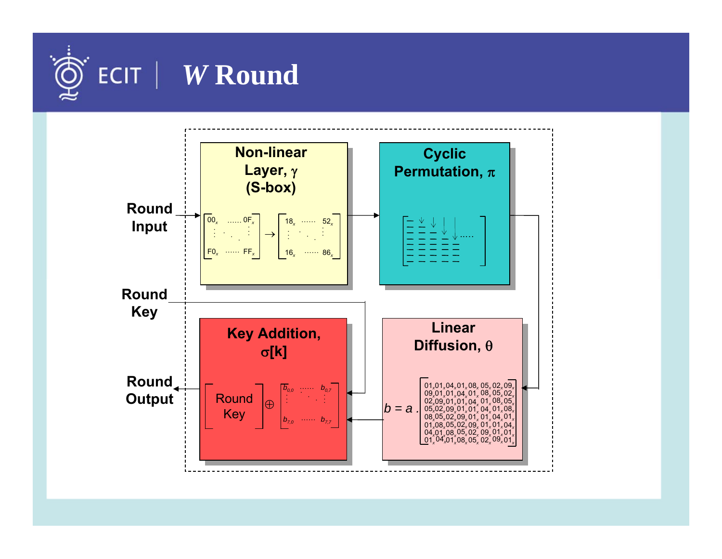

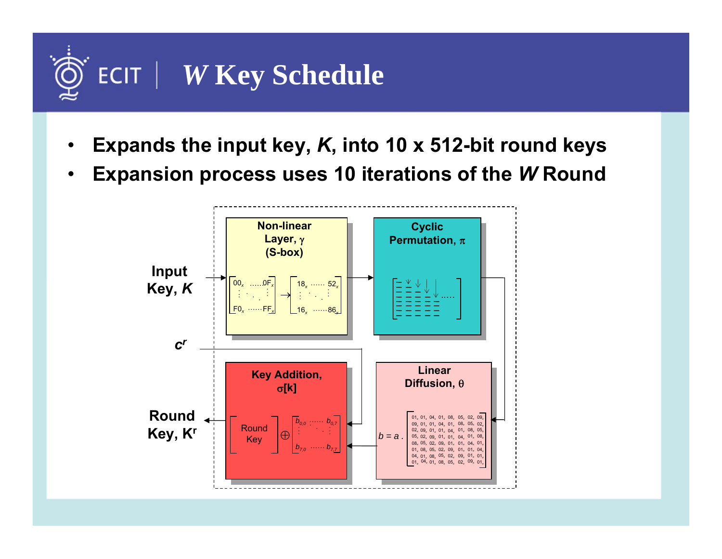### $ECIT$ *W* **Key Schedule**

- •**Expands the input key,** *K***, into 10 x 512-bit round keys**
- •**Expansion process uses 10 iterations of the** *W* **Round**

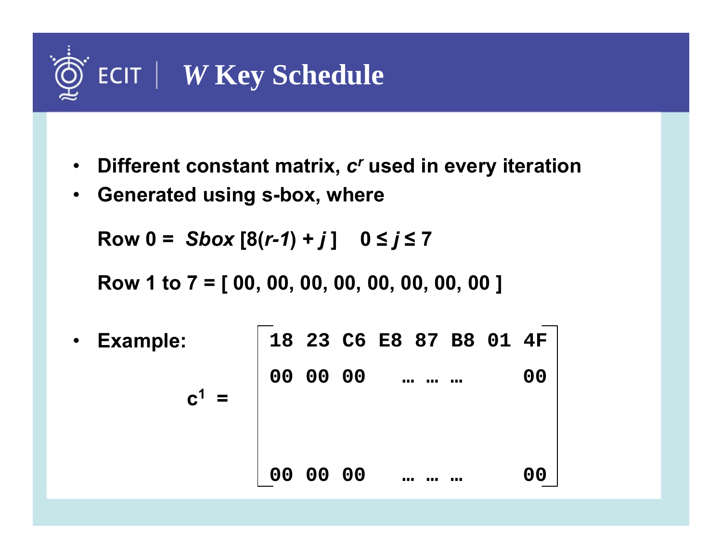

- $\bullet$ **Different constant matrix,** *c<sup>r</sup>* **used in every iteration**
- •**Generated using s-box, where**

**Row 0 =** *Sbox* **[8(***r-1***) +** *j* **] 0 ≤** *j* **≤ 7**

**Row 1 to 7 = [ 00, 00, 00, 00, 00, 00, 00, 00 ]**

 $\bullet$  **Example: <sup>c</sup><sup>1</sup> <sup>=</sup>18 23 C6 E8 87 B8 01 4F 00 00 00 … … … 00 00 00 00 …… … 00**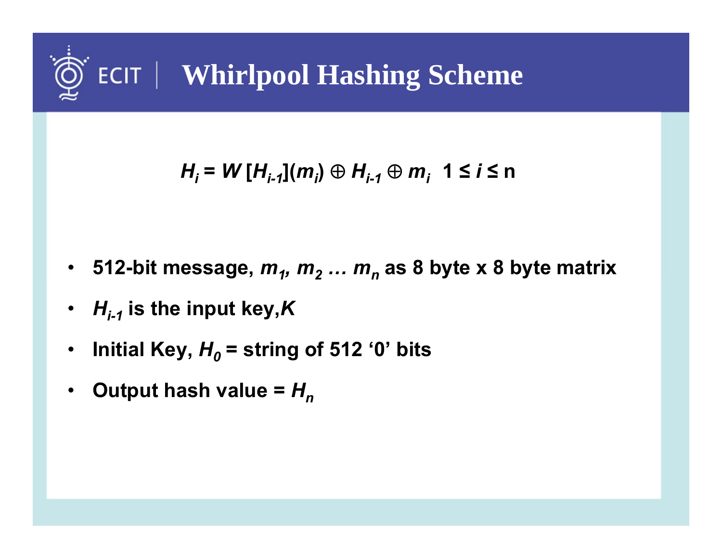

$$
H_i = W[H_{i-1}](m_i) \oplus H_{i-1} \oplus m_i \quad 1 \leq i \leq n
$$

- •**512-bit message,**  *m 1, <sup>m</sup> 2 … <sup>m</sup> n* **as 8 byte x 8 byte matrix**
- •*Hi-1* **is the input key,** *K*
- •**Initial Key,**  *H 0* **= string of 512 '0' bits**
- •**Output hash value =** *Hn*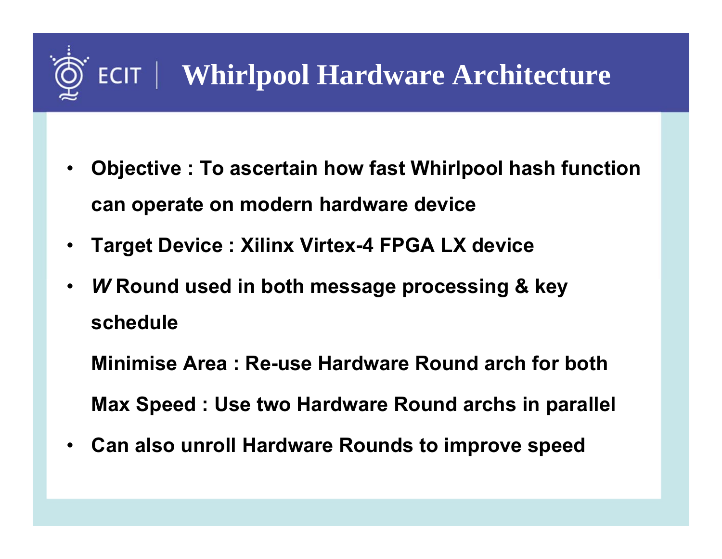

- • **Objective : To ascertain how fast Whirlpool hash function can operate on modern hardware device**
- •**Target Device : Xilinx Virtex-4 FPGA LX device**
- •*W* **Round used in both message processing & key schedule**

**Minimise Area : Re-use Hardware Round arch for bothMax Speed : Use two Hardware Round archs in parallel**

•**Can also unroll Hardware Rounds to improve speed**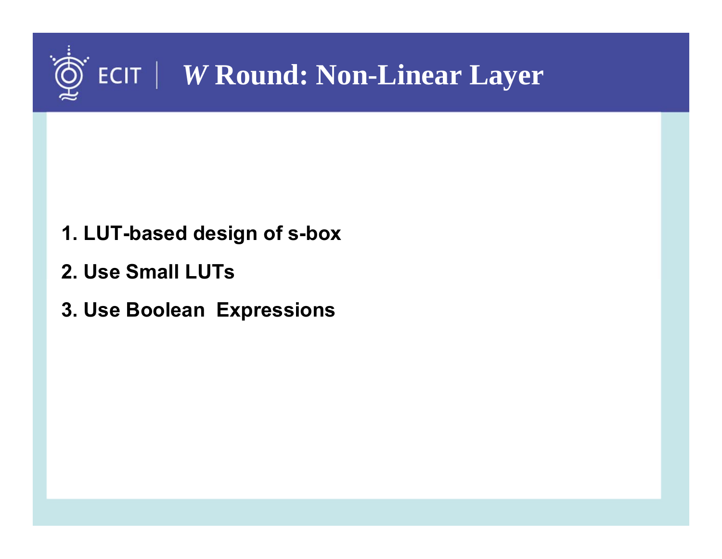

- **1. LUT-based design of s-box**
- **2. Use Small LUTs**
- **3. Use Boolean Expressions**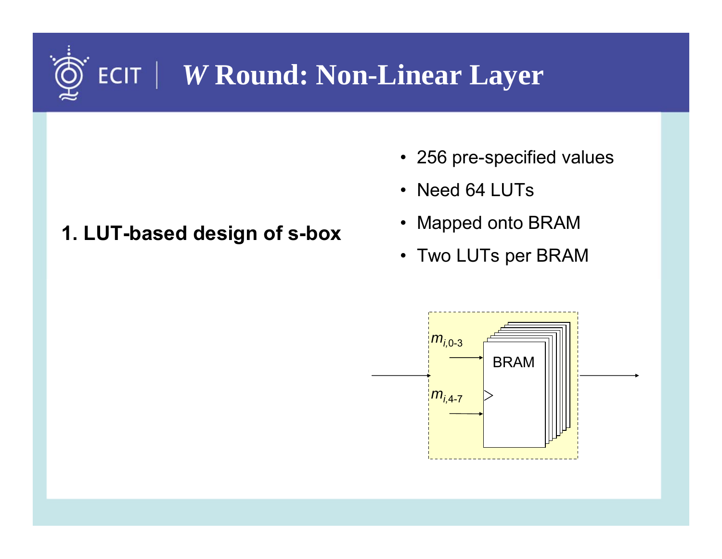## *W* **Round: Non-Linear Layer**

### **1. LUT-based design of s-box**

- 256 pre-specified values
- Need 64 LUTs
- Mapped onto BRAM
- Two LUTs per BRAM

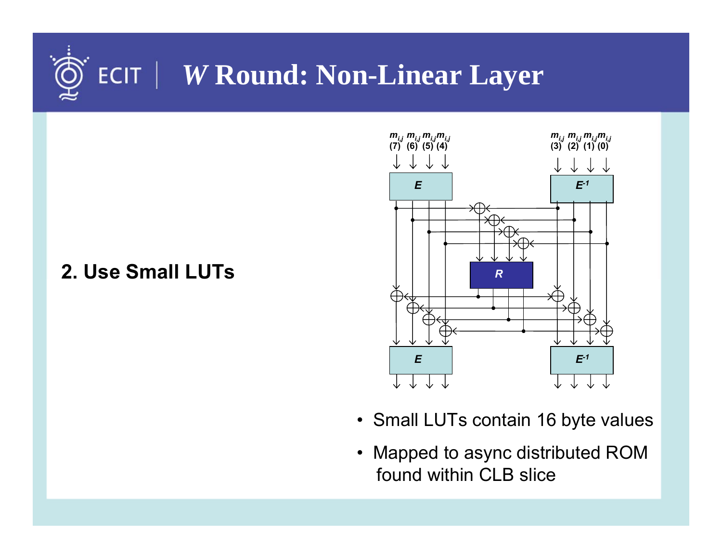## *W* **Round: Non-Linear Layer**

### **2. Use Small LUTs**



- Small LUTs contain 16 byte values
- Mapped to async distributed ROM found within CLB slice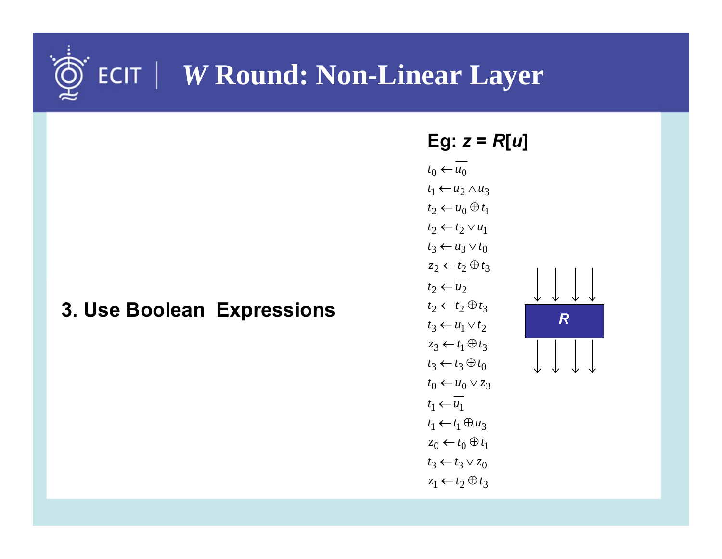## *W* **Round: Non-Linear Layer**

### **3. Use Boolean Expressions**

**Eg:** 
$$
z = R[u]
$$
  
\n $t_0 \leftarrow u_0$   
\n $t_1 \leftarrow u_2 \land u_3$   
\n $t_2 \leftarrow t_2 \lor u_1$   
\n $t_3 \leftarrow u_3 \lor t_0$   
\n $t_2 \leftarrow t_2 \oplus t_3$   
\n $t_2 \leftarrow t_2 \oplus t_3$   
\n $t_2 \leftarrow t_2 \oplus t_3$   
\n $t_3 \leftarrow u_1 \lor t_2$   
\n $t_3 \leftarrow t_3 \oplus t_0$   
\n $t_0 \leftarrow u_0 \lor z_3$   
\n $t_1 \leftarrow t_1 \oplus u_3$   
\n $t_0 \leftarrow t_0 \oplus t_1$   
\n $t_3 \leftarrow t_3 \lor z_0$   
\n $z_1 \leftarrow t_2 \oplus t_3$ 

*R*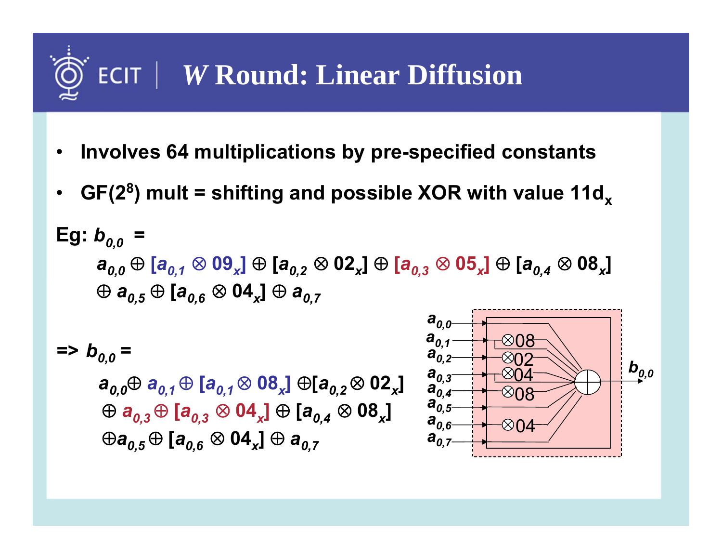# *W* **Round: Linear Diffusion**

- •**Involves 64 multiplications by pre-specified constants**
- •GF(2<sup>8</sup>) mult = shifting and possible XOR with value 11d<sub>x</sub>

Eg: 
$$
b_{0,0} = a_{0,0} \oplus [a_{0,1} \otimes 09_x] \oplus [a_{0,2} \otimes 02_x] \oplus [a_{0,3} \otimes 05_x] \oplus [a_{0,4} \otimes 08_x]
$$
  
 $\oplus a_{0,5} \oplus [a_{0,6} \otimes 04_x] \oplus a_{0,7}$ 

 $=$ *>*  $b_{0,0}$  =

 $a_{0.0} \oplus a_{0.1} \oplus [a_{0.1} \otimes 08_x] \oplus [a_{0.2} \otimes 02_x]$  $\oplus$   $\bm{a}_{0,3}$   $\oplus$   $[\bm{a}_{0,3}$   $\otimes$   $\bm{04_x}]$   $\oplus$   $[\bm{a}_{0,4}$   $\otimes$   $\bm{08_x}]$  $\oplus a_{0.5} \oplus [a_{0.6} \otimes 04_x] \oplus a_{0.7}$ 

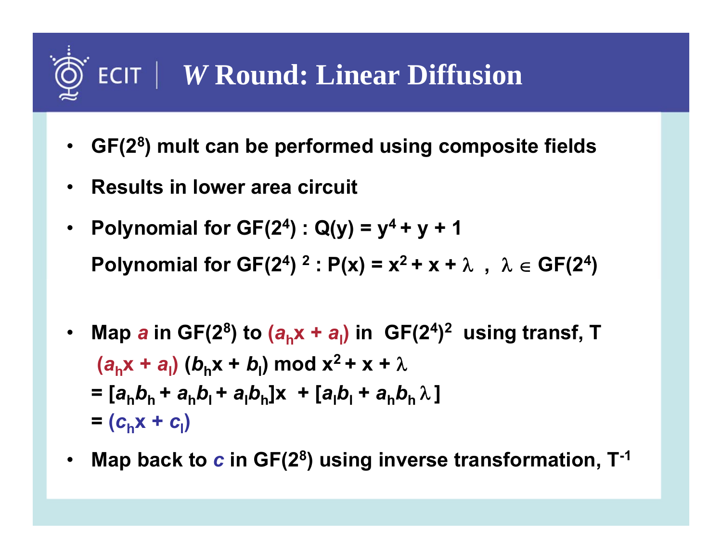# *W* **Round: Linear Diffusion**

- **GF(28) mult can be performed using composite fields**
- •**Results in lower area circuit**
- •**Polynomial for GF(2<sup>4</sup>) : Q(y) =**  $y^4 + y + 1$ **Polynomial for GF(2<sup>4</sup>)<sup>2</sup> : P(x) =**  $x^2 + x + \lambda$ **,**  $\lambda \in GF(2^4)$
- •**Map** *a* **in GF(2<sup>8</sup>) to (** $a<sub>b</sub>$  $\bf{x}$  **+**  $a<sub>l</sub>$ **) in GF(2<sup>4</sup>)<sup>2</sup> using transf, T**  $(a_n x + a_1)(b_n x + b_1) \text{ mod } x^2 + x + \lambda$  $= [a_{h}b_{h} + a_{h}b_{l} + a_{h}b_{h}]$ x +  $[a_{h}b_{l} + a_{h}b_{h}$  $\lambda]$  $= (c_h x + c_l)$
- •**Map back to** *<sup>c</sup>* **in GF(28) using inverse transformation, T-1**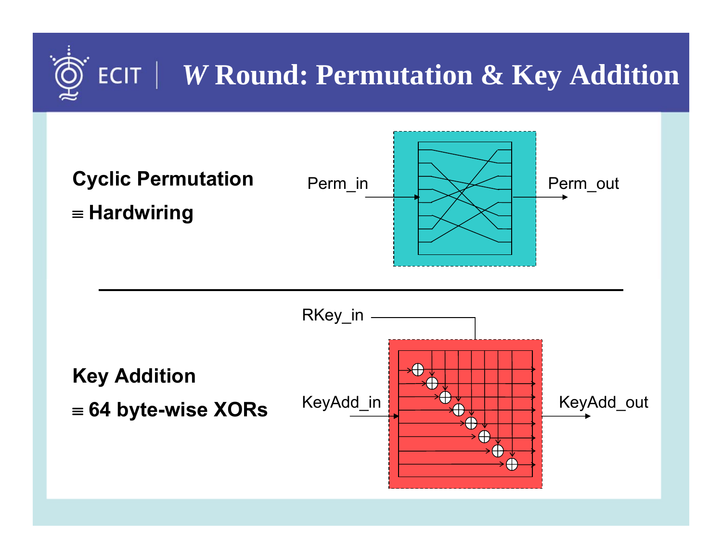## *W* **Round: Permutation & Key Addition**

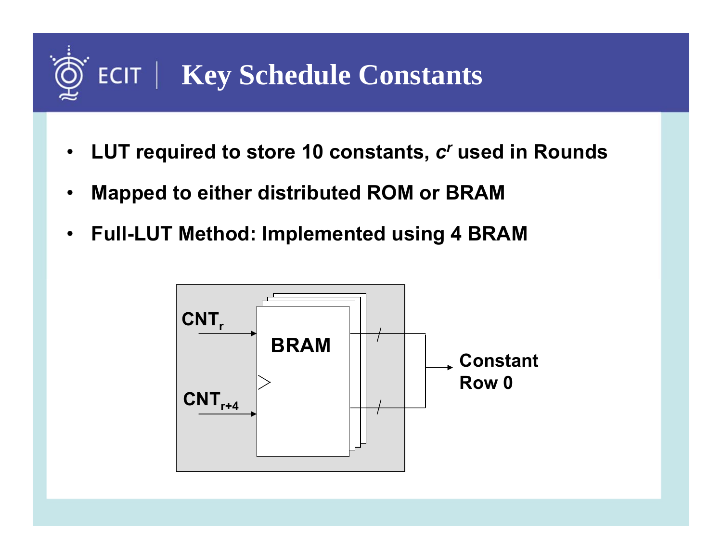# **ECIT | Key Schedule Constants**

- • **LUT required to store 10 constants,**  *c r* **used in Rounds**
- •**Mapped to either distributed ROM or BRAM**
- •**Full-LUT Method: Implemented using 4 BRAM**

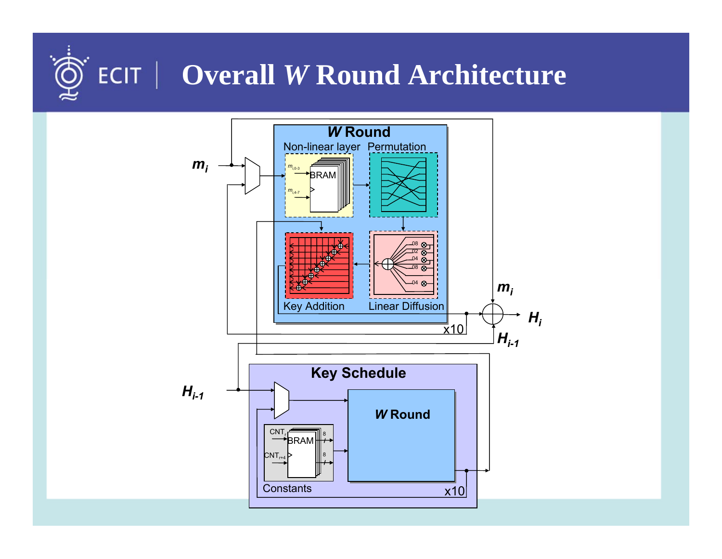# **Overall** *W* **Round Architecture**

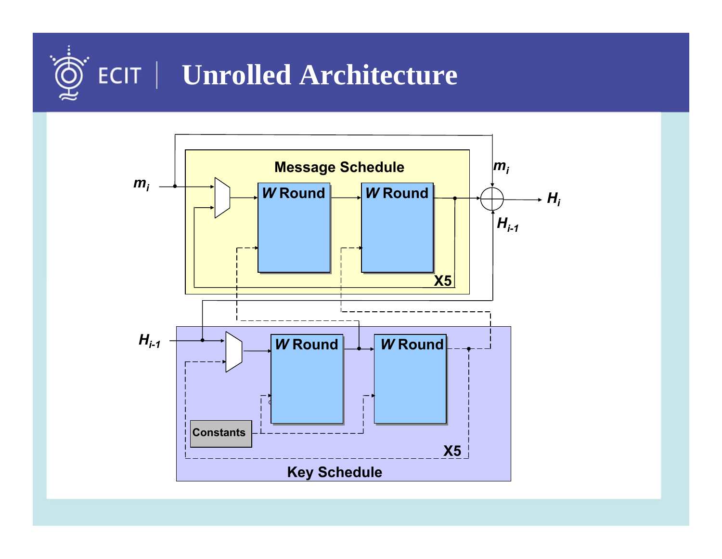

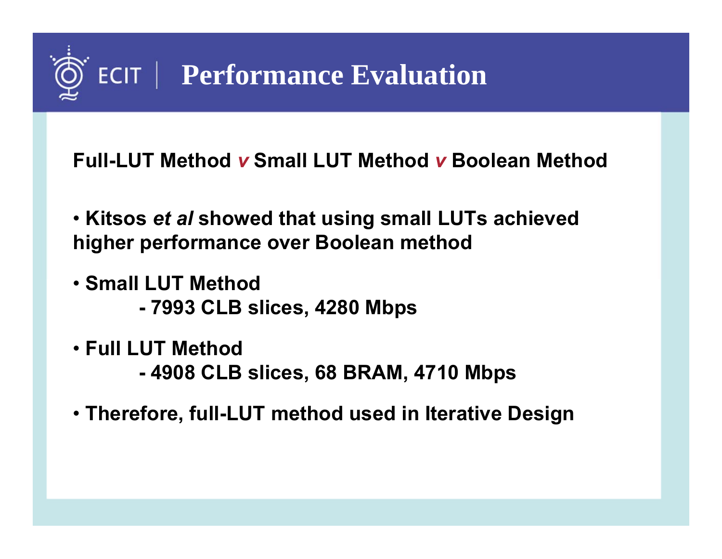

**Full-LUT Method** *v* **Small LUT Method** *<sup>v</sup>***Boolean Method**

- **Kitsos** *et al* **showed that using small LUTs achieved higher performance over Boolean method**
- **Small LUT Method**
	- **- 7993 CLB slices, 4280 Mbps**
- **Full LUT Method**
	- **- 4908 CLB slices, 68 BRAM, 4710 Mbps**
- **Therefore, full-LUT method used in Iterative Design**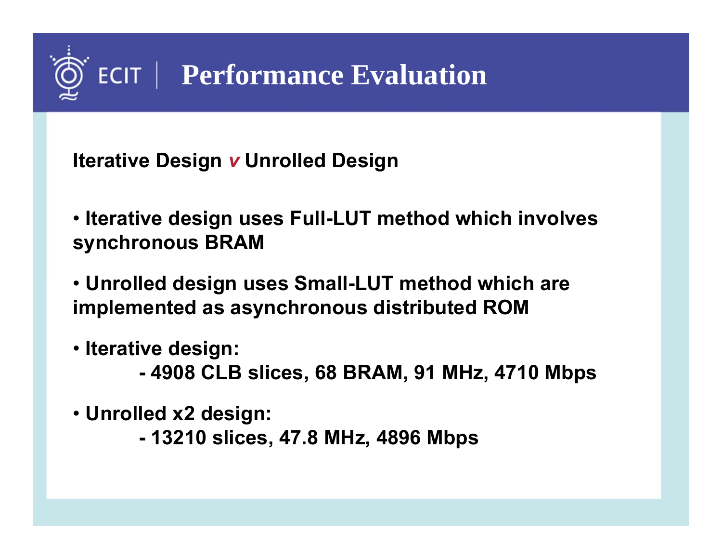

**Iterative Design**  *v* **Unrolled Design**

• **Iterative design uses Full-LUT method which involves synchronous BRAM**

- **Unrolled design uses Small-LUT method which are implemented as asynchronous distributed ROM**
- **Iterative design:**
	- **- 4908 CLB slices, 68 BRAM, 91 MHz, 4710 Mbps**
- **Unrolled x2 design:**
	- **- 13210 slices, 47.8 MHz, 4896 Mbps**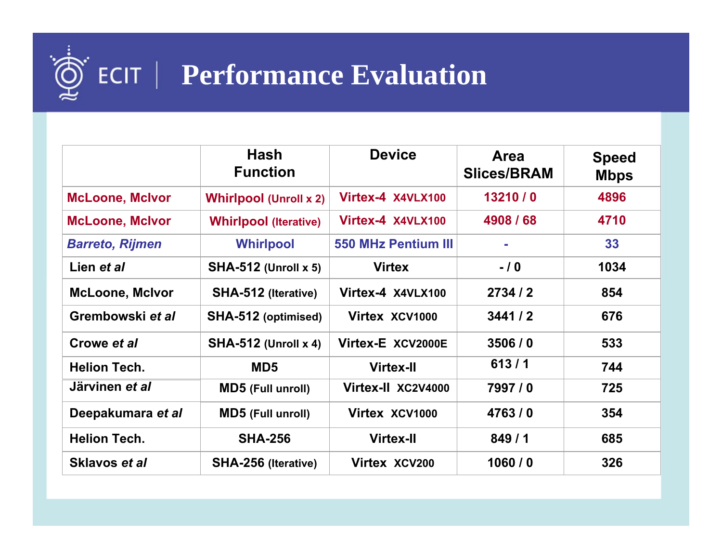# **Performance Evaluation**

|                        | <b>Hash</b><br><b>Function</b> | <b>Device</b>              | Area<br><b>Slices/BRAM</b> | <b>Speed</b><br><b>Mbps</b> |
|------------------------|--------------------------------|----------------------------|----------------------------|-----------------------------|
| <b>McLoone, McIvor</b> | <b>Whirlpool (Unroll x 2)</b>  | Virtex-4 X4VLX100          | 13210/0                    | 4896                        |
| <b>McLoone, McIvor</b> | <b>Whirlpool (Iterative)</b>   | Virtex-4 X4VLX100          | 4908 / 68                  | 4710                        |
| <b>Barreto, Rijmen</b> | <b>Whirlpool</b>               | <b>550 MHz Pentium III</b> | ÷,                         | 33                          |
| Lien et al             | <b>SHA-512 (Unroll x 5)</b>    | <b>Virtex</b>              | $-10$                      | 1034                        |
| <b>McLoone, McIvor</b> | <b>SHA-512 (Iterative)</b>     | Virtex-4 X4VLX100          | 2734/2                     | 854                         |
| Grembowski et al       | SHA-512 (optimised)            | Virtex XCV1000             | 3441/2                     | 676                         |
| Crowe et al            | <b>SHA-512 (Unroll x 4)</b>    | Virtex-E XCV2000E          | 3506/0                     | 533                         |
| <b>Helion Tech.</b>    | MD <sub>5</sub>                | <b>Virtex-II</b>           | 613/1                      | 744                         |
| Järvinen et al         | <b>MD5</b> (Full unroll)       | Virtex-II XC2V4000         | 7997/0                     | 725                         |
| Deepakumara et al      | <b>MD5</b> (Full unroll)       | Virtex XCV1000             | 4763/0                     | 354                         |
| <b>Helion Tech.</b>    | <b>SHA-256</b>                 | <b>Virtex-II</b>           | 849/1                      | 685                         |
| Sklavos et al          | <b>SHA-256 (Iterative)</b>     | Virtex XCV200              | 1060/0                     | 326                         |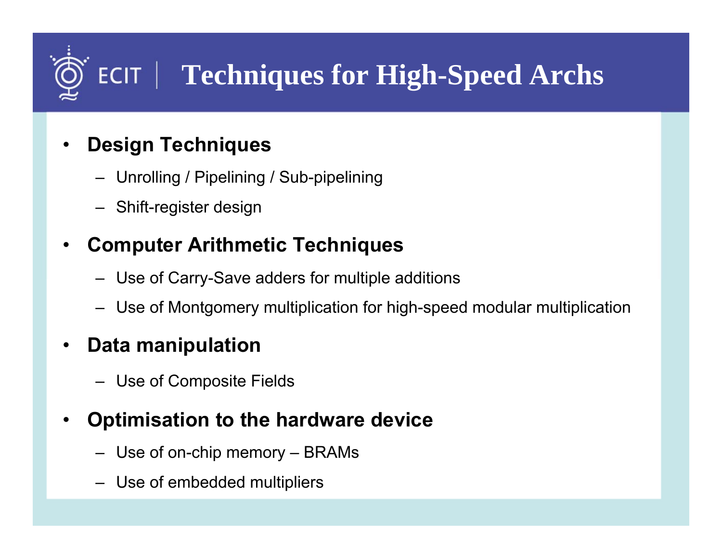# **FCIT | Techniques for High-Speed Archs**

- • **Design Techniques**
	- Unrolling / Pipelining / Sub-pipelining
	- Shift-register design

#### •**Computer Arithmetic Techniques**

- Use of Carry-Save adders for multiple additions
- Use of Montgomery multiplication for high-speed modular multiplication

#### •**Data manipulation**

– Use of Composite Fields

#### •**Optimisation to the hardware device**

- Use of on-chip memory BRAMs
- Use of embedded multipliers